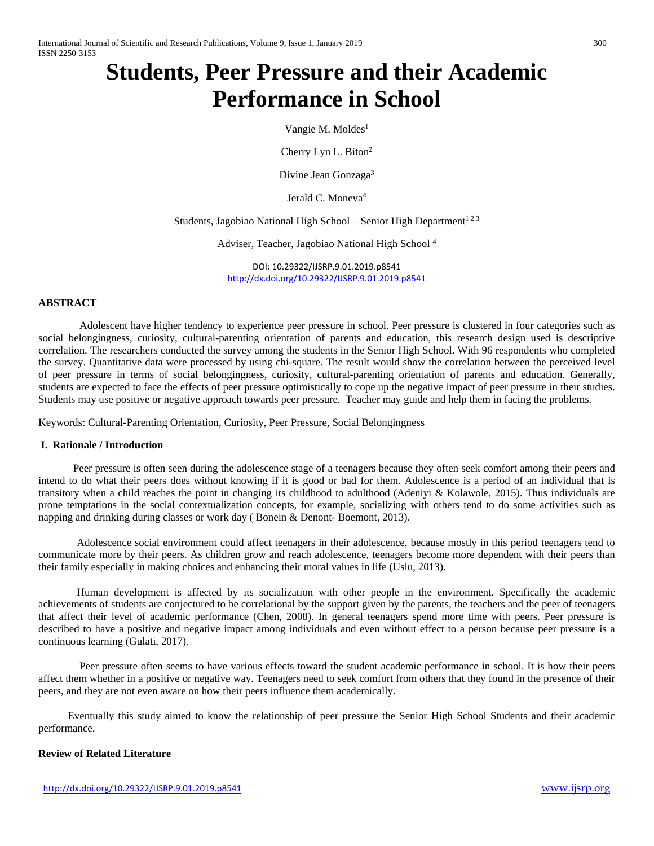# **Students, Peer Pressure and their Academic Performance in School**

Vangie M. Moldes<sup>1</sup>

Cherry Lyn L. Biton<sup>2</sup>

Divine Jean Gonzaga<sup>3</sup>

Jerald C. Moneva<sup>4</sup>

Students, Jagobiao National High School – Senior High Department<sup>123</sup>

Adviser, Teacher, Jagobiao National High School 4

DOI: 10.29322/IJSRP.9.01.2019.p8541 <http://dx.doi.org/10.29322/IJSRP.9.01.2019.p8541>

### **ABSTRACT**

Adolescent have higher tendency to experience peer pressure in school. Peer pressure is clustered in four categories such as social belongingness, curiosity, cultural-parenting orientation of parents and education, this research design used is descriptive correlation. The researchers conducted the survey among the students in the Senior High School. With 96 respondents who completed the survey. Quantitative data were processed by using chi-square. The result would show the correlation between the perceived level of peer pressure in terms of social belongingness, curiosity, cultural-parenting orientation of parents and education. Generally, students are expected to face the effects of peer pressure optimistically to cope up the negative impact of peer pressure in their studies. Students may use positive or negative approach towards peer pressure. Teacher may guide and help them in facing the problems.

Keywords: Cultural-Parenting Orientation, Curiosity, Peer Pressure, Social Belongingness

#### **I. Rationale / Introduction**

Peer pressure is often seen during the adolescence stage of a teenagers because they often seek comfort among their peers and intend to do what their peers does without knowing if it is good or bad for them. Adolescence is a period of an individual that is transitory when a child reaches the point in changing its childhood to adulthood (Adeniyi & Kolawole, 2015). Thus individuals are prone temptations in the social contextualization concepts, for example, socializing with others tend to do some activities such as napping and drinking during classes or work day ( Bonein & Denont- Boemont, 2013).

 Adolescence social environment could affect teenagers in their adolescence, because mostly in this period teenagers tend to communicate more by their peers. As children grow and reach adolescence, teenagers become more dependent with their peers than their family especially in making choices and enhancing their moral values in life (Uslu, 2013).

 Human development is affected by its socialization with other people in the environment. Specifically the academic achievements of students are conjectured to be correlational by the support given by the parents, the teachers and the peer of teenagers that affect their level of academic performance (Chen, 2008). In general teenagers spend more time with peers. Peer pressure is described to have a positive and negative impact among individuals and even without effect to a person because peer pressure is a continuous learning (Gulati, 2017).

 Peer pressure often seems to have various effects toward the student academic performance in school. It is how their peers affect them whether in a positive or negative way. Teenagers need to seek comfort from others that they found in the presence of their peers, and they are not even aware on how their peers influence them academically.

 Eventually this study aimed to know the relationship of peer pressure the Senior High School Students and their academic performance.

## **Review of Related Literature**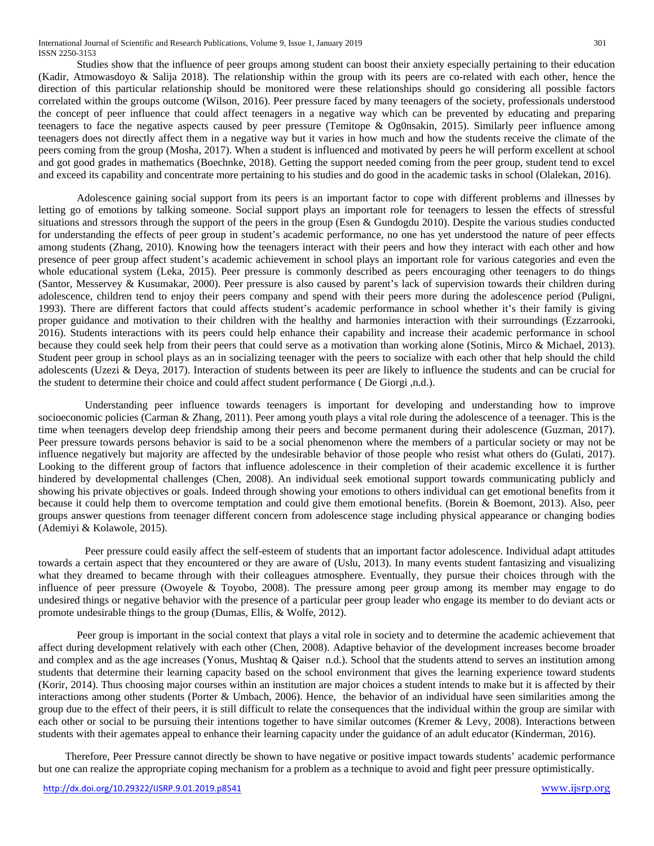Studies show that the influence of peer groups among student can boost their anxiety especially pertaining to their education (Kadir, Atmowasdoyo & Salija 2018). The relationship within the group with its peers are co-related with each other, hence the direction of this particular relationship should be monitored were these relationships should go considering all possible factors correlated within the groups outcome (Wilson, 2016). Peer pressure faced by many teenagers of the society, professionals understood the concept of peer influence that could affect teenagers in a negative way which can be prevented by educating and preparing teenagers to face the negative aspects caused by peer pressure (Temitope & Og0nsakin, 2015). Similarly peer influence among teenagers does not directly affect them in a negative way but it varies in how much and how the students receive the climate of the peers coming from the group (Mosha, 2017). When a student is influenced and motivated by peers he will perform excellent at school and got good grades in mathematics (Boechnke, 2018). Getting the support needed coming from the peer group, student tend to excel and exceed its capability and concentrate more pertaining to his studies and do good in the academic tasks in school (Olalekan, 2016).

 Adolescence gaining social support from its peers is an important factor to cope with different problems and illnesses by letting go of emotions by talking someone. Social support plays an important role for teenagers to lessen the effects of stressful situations and stressors through the support of the peers in the group (Esen & Gundogdu 2010). Despite the various studies conducted for understanding the effects of peer group in student's academic performance, no one has yet understood the nature of peer effects among students (Zhang, 2010). Knowing how the teenagers interact with their peers and how they interact with each other and how presence of peer group affect student's academic achievement in school plays an important role for various categories and even the whole educational system (Leka, 2015). Peer pressure is commonly described as peers encouraging other teenagers to do things (Santor, Messervey & Kusumakar, 2000). Peer pressure is also caused by parent's lack of supervision towards their children during adolescence, children tend to enjoy their peers company and spend with their peers more during the adolescence period (Puligni, 1993). There are different factors that could affects student's academic performance in school whether it's their family is giving proper guidance and motivation to their children with the healthy and harmonies interaction with their surroundings (Ezzarrooki, 2016). Students interactions with its peers could help enhance their capability and increase their academic performance in school because they could seek help from their peers that could serve as a motivation than working alone (Sotinis, Mirco & Michael, 2013). Student peer group in school plays as an in socializing teenager with the peers to socialize with each other that help should the child adolescents (Uzezi & Deya, 2017). Interaction of students between its peer are likely to influence the students and can be crucial for the student to determine their choice and could affect student performance ( De Giorgi ,n.d.).

 Understanding peer influence towards teenagers is important for developing and understanding how to improve socioeconomic policies (Carman & Zhang, 2011). Peer among youth plays a vital role during the adolescence of a teenager. This is the time when teenagers develop deep friendship among their peers and become permanent during their adolescence (Guzman, 2017). Peer pressure towards persons behavior is said to be a social phenomenon where the members of a particular society or may not be influence negatively but majority are affected by the undesirable behavior of those people who resist what others do (Gulati, 2017). Looking to the different group of factors that influence adolescence in their completion of their academic excellence it is further hindered by developmental challenges (Chen, 2008). An individual seek emotional support towards communicating publicly and showing his private objectives or goals. Indeed through showing your emotions to others individual can get emotional benefits from it because it could help them to overcome temptation and could give them emotional benefits. (Borein & Boemont, 2013). Also, peer groups answer questions from teenager different concern from adolescence stage including physical appearance or changing bodies (Ademiyi & Kolawole, 2015).

 Peer pressure could easily affect the self-esteem of students that an important factor adolescence. Individual adapt attitudes towards a certain aspect that they encountered or they are aware of (Uslu, 2013). In many events student fantasizing and visualizing what they dreamed to became through with their colleagues atmosphere. Eventually, they pursue their choices through with the influence of peer pressure (Owoyele & Toyobo, 2008). The pressure among peer group among its member may engage to do undesired things or negative behavior with the presence of a particular peer group leader who engage its member to do deviant acts or promote undesirable things to the group (Dumas, Ellis, & Wolfe, 2012).

Peer group is important in the social context that plays a vital role in society and to determine the academic achievement that affect during development relatively with each other (Chen, 2008). Adaptive behavior of the development increases become broader and complex and as the age increases (Yonus, Mushtaq & Qaiser n.d.). School that the students attend to serves an institution among students that determine their learning capacity based on the school environment that gives the learning experience toward students (Korir, 2014). Thus choosing major courses within an institution are major choices a student intends to make but it is affected by their interactions among other students (Porter & Umbach, 2006). Hence, the behavior of an individual have seen similarities among the group due to the effect of their peers, it is still difficult to relate the consequences that the individual within the group are similar with each other or social to be pursuing their intentions together to have similar outcomes (Kremer & Levy, 2008). Interactions between students with their agemates appeal to enhance their learning capacity under the guidance of an adult educator (Kinderman, 2016).

 Therefore, Peer Pressure cannot directly be shown to have negative or positive impact towards students' academic performance but one can realize the appropriate coping mechanism for a problem as a technique to avoid and fight peer pressure optimistically.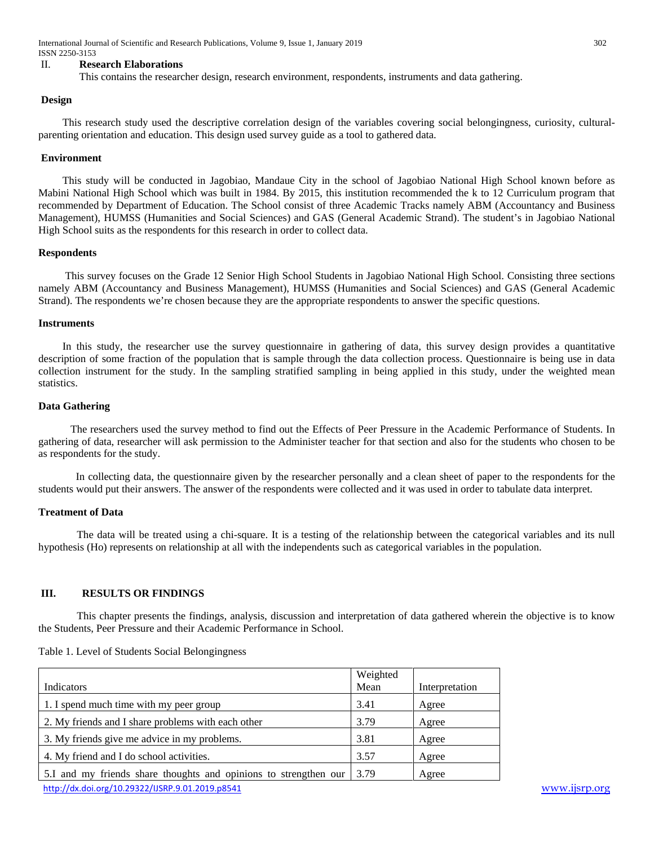International Journal of Scientific and Research Publications, Volume 9, Issue 1, January 2019 302 ISSN 2250-3153

#### II. **Research Elaborations**

#### **Design**

 This research study used the descriptive correlation design of the variables covering social belongingness, curiosity, culturalparenting orientation and education. This design used survey guide as a tool to gathered data.

## **Environment**

 This study will be conducted in Jagobiao, Mandaue City in the school of Jagobiao National High School known before as Mabini National High School which was built in 1984. By 2015, this institution recommended the k to 12 Curriculum program that recommended by Department of Education. The School consist of three Academic Tracks namely ABM (Accountancy and Business Management), HUMSS (Humanities and Social Sciences) and GAS (General Academic Strand). The student's in Jagobiao National High School suits as the respondents for this research in order to collect data.

#### **Respondents**

 This survey focuses on the Grade 12 Senior High School Students in Jagobiao National High School. Consisting three sections namely ABM (Accountancy and Business Management), HUMSS (Humanities and Social Sciences) and GAS (General Academic Strand). The respondents we're chosen because they are the appropriate respondents to answer the specific questions.

#### **Instruments**

 In this study, the researcher use the survey questionnaire in gathering of data, this survey design provides a quantitative description of some fraction of the population that is sample through the data collection process. Questionnaire is being use in data collection instrument for the study. In the sampling stratified sampling in being applied in this study, under the weighted mean statistics.

#### **Data Gathering**

 The researchers used the survey method to find out the Effects of Peer Pressure in the Academic Performance of Students. In gathering of data, researcher will ask permission to the Administer teacher for that section and also for the students who chosen to be as respondents for the study.

 In collecting data, the questionnaire given by the researcher personally and a clean sheet of paper to the respondents for the students would put their answers. The answer of the respondents were collected and it was used in order to tabulate data interpret.

#### **Treatment of Data**

The data will be treated using a chi-square. It is a testing of the relationship between the categorical variables and its null hypothesis (Ho) represents on relationship at all with the independents such as categorical variables in the population.

# **III. RESULTS OR FINDINGS**

This chapter presents the findings, analysis, discussion and interpretation of data gathered wherein the objective is to know the Students, Peer Pressure and their Academic Performance in School.

| Table 1. Level of Students Social Belongingness |  |
|-------------------------------------------------|--|
|-------------------------------------------------|--|

|                                                                  | Weighted |                |
|------------------------------------------------------------------|----------|----------------|
| Indicators                                                       | Mean     | Interpretation |
| 1. I spend much time with my peer group                          | 3.41     | Agree          |
| 2. My friends and I share problems with each other               | 3.79     | Agree          |
| 3. My friends give me advice in my problems.                     | 3.81     | Agree          |
| 4. My friend and I do school activities.                         | 3.57     | Agree          |
| 5.I and my friends share thoughts and opinions to strengthen our | 3.79     | Agree          |
| http://dx.doi.org/10.29322/IISRP 9.01.2019.p8541                 |          |                |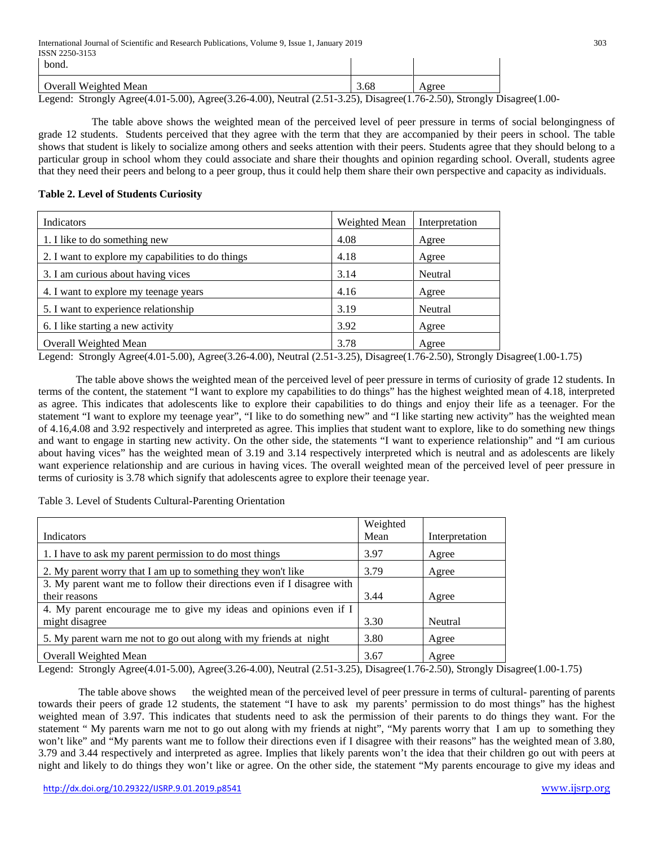| - vulu.                                                                                                                                                                                                                                                                                                               |  |  |
|-----------------------------------------------------------------------------------------------------------------------------------------------------------------------------------------------------------------------------------------------------------------------------------------------------------------------|--|--|
| l Overall Weighted Mean                                                                                                                                                                                                                                                                                               |  |  |
| Logard: $\frac{1}{2}$ $\frac{1}{2}$ $\frac{1}{2}$ $\frac{1}{2}$ $\frac{1}{2}$ $\frac{1}{2}$ $\frac{1}{2}$ $\frac{1}{2}$ $\frac{1}{2}$ $\frac{1}{2}$ $\frac{1}{2}$ $\frac{1}{2}$ $\frac{1}{2}$ $\frac{1}{2}$ $\frac{1}{2}$ $\frac{1}{2}$ $\frac{1}{2}$ $\frac{1}{2}$ $\frac{1}{2}$ $\frac{1}{2}$ $\frac{1}{2}$ $\frac$ |  |  |

Legend: Strongly Agree(4.01-5.00), Agree(3.26-4.00), Neutral (2.51-3.25), Disagree(1.76-2.50), Strongly Disagree(1.00-

 The table above shows the weighted mean of the perceived level of peer pressure in terms of social belongingness of grade 12 students. Students perceived that they agree with the term that they are accompanied by their peers in school. The table shows that student is likely to socialize among others and seeks attention with their peers. Students agree that they should belong to a particular group in school whom they could associate and share their thoughts and opinion regarding school. Overall, students agree that they need their peers and belong to a peer group, thus it could help them share their own perspective and capacity as individuals.

**Contract Contract** 

# **Table 2. Level of Students Curiosity**

| Indicators                                        | Weighted Mean | Interpretation |
|---------------------------------------------------|---------------|----------------|
| 1. I like to do something new                     | 4.08          | Agree          |
| 2. I want to explore my capabilities to do things | 4.18          | Agree          |
| 3. I am curious about having vices                | 3.14          | Neutral        |
| 4. I want to explore my teenage years             | 4.16          | Agree          |
| 5. I want to experience relationship              | 3.19          | Neutral        |
| 6. I like starting a new activity                 | 3.92          | Agree          |
| Overall Weighted Mean                             | 3.78          | Agree          |

Legend: Strongly Agree(4.01-5.00), Agree(3.26-4.00), Neutral (2.51-3.25), Disagree(1.76-2.50), Strongly Disagree(1.00-1.75)

 The table above shows the weighted mean of the perceived level of peer pressure in terms of curiosity of grade 12 students. In terms of the content, the statement "I want to explore my capabilities to do things" has the highest weighted mean of 4.18, interpreted as agree. This indicates that adolescents like to explore their capabilities to do things and enjoy their life as a teenager. For the statement "I want to explore my teenage year", "I like to do something new" and "I like starting new activity" has the weighted mean of 4.16,4.08 and 3.92 respectively and interpreted as agree. This implies that student want to explore, like to do something new things and want to engage in starting new activity. On the other side, the statements "I want to experience relationship" and "I am curious about having vices" has the weighted mean of 3.19 and 3.14 respectively interpreted which is neutral and as adolescents are likely want experience relationship and are curious in having vices. The overall weighted mean of the perceived level of peer pressure in terms of curiosity is 3.78 which signify that adolescents agree to explore their teenage year.

Table 3. Level of Students Cultural-Parenting Orientation

|                                                                         | Weighted |                |
|-------------------------------------------------------------------------|----------|----------------|
| Indicators                                                              | Mean     | Interpretation |
| 1. I have to ask my parent permission to do most things                 | 3.97     | Agree          |
| 2. My parent worry that I am up to something they won't like            | 3.79     | Agree          |
| 3. My parent want me to follow their directions even if I disagree with |          |                |
| their reasons                                                           | 3.44     | Agree          |
| 4. My parent encourage me to give my ideas and opinions even if I       |          |                |
| might disagree                                                          | 3.30     | Neutral        |
| 5. My parent warn me not to go out along with my friends at night       | 3.80     | Agree          |
| Overall Weighted Mean                                                   | 3.67     | Agree          |

Legend: Strongly Agree(4.01-5.00), Agree(3.26-4.00), Neutral (2.51-3.25), Disagree(1.76-2.50), Strongly Disagree(1.00-1.75)

The table above shows the weighted mean of the perceived level of peer pressure in terms of cultural- parenting of parents towards their peers of grade 12 students, the statement "I have to ask my parents' permission to do most things" has the highest weighted mean of 3.97. This indicates that students need to ask the permission of their parents to do things they want. For the statement " My parents warn me not to go out along with my friends at night", "My parents worry that I am up to something they won't like" and "My parents want me to follow their directions even if I disagree with their reasons" has the weighted mean of 3.80, 3.79 and 3.44 respectively and interpreted as agree. Implies that likely parents won't the idea that their children go out with peers at night and likely to do things they won't like or agree. On the other side, the statement "My parents encourage to give my ideas and

 $\mathbf{I}$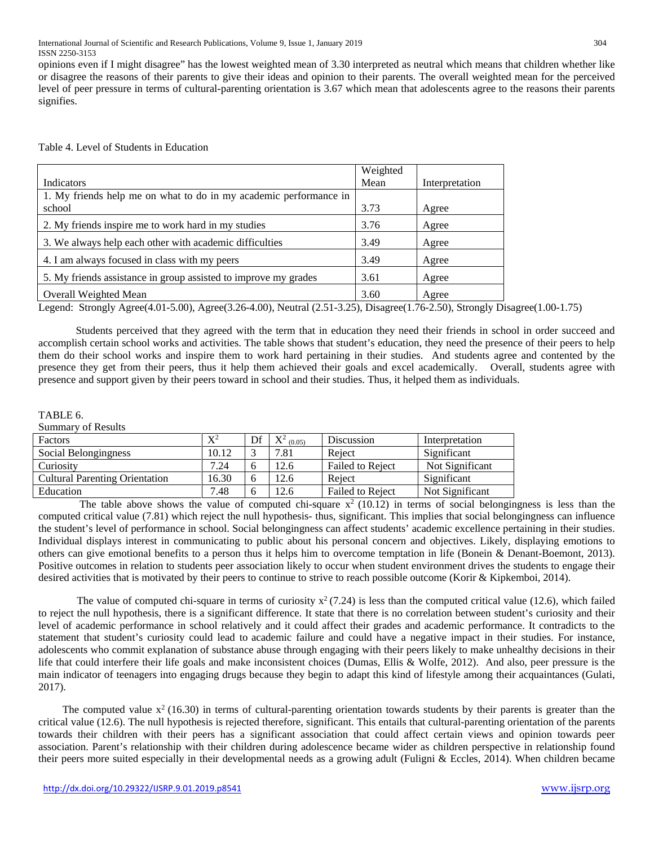opinions even if I might disagree" has the lowest weighted mean of 3.30 interpreted as neutral which means that children whether like or disagree the reasons of their parents to give their ideas and opinion to their parents. The overall weighted mean for the perceived level of peer pressure in terms of cultural-parenting orientation is 3.67 which mean that adolescents agree to the reasons their parents signifies.

|                                                                   | Weighted |                |
|-------------------------------------------------------------------|----------|----------------|
| Indicators                                                        | Mean     | Interpretation |
| 1. My friends help me on what to do in my academic performance in |          |                |
| school                                                            | 3.73     | Agree          |
| 2. My friends inspire me to work hard in my studies               | 3.76     | Agree          |
| 3. We always help each other with academic difficulties           | 3.49     | Agree          |
| 4. I am always focused in class with my peers                     | 3.49     | Agree          |
| 5. My friends assistance in group assisted to improve my grades   | 3.61     | Agree          |
| <b>Overall Weighted Mean</b>                                      | 3.60     | Agree          |

# Table 4. Level of Students in Education

Legend: Strongly Agree(4.01-5.00), Agree(3.26-4.00), Neutral (2.51-3.25), Disagree(1.76-2.50), Strongly Disagree(1.00-1.75)

 Students perceived that they agreed with the term that in education they need their friends in school in order succeed and accomplish certain school works and activities. The table shows that student's education, they need the presence of their peers to help them do their school works and inspire them to work hard pertaining in their studies. And students agree and contented by the presence they get from their peers, thus it help them achieved their goals and excel academically. Overall, students agree with presence and support given by their peers toward in school and their studies. Thus, it helped them as individuals.

## TABLE 6.

Summary of Results

| Factors                               | $\mathrm{X}^2$ | Df | $\mathbf{V}^2$ (0.05) | Discussion              | Interpretation  |
|---------------------------------------|----------------|----|-----------------------|-------------------------|-----------------|
| Social Belongingness                  | 10.12          |    | 7.81                  | Reject                  | Significant     |
| Curiosity                             | 7.24           | 6  | 12.6                  | Failed to Reject        | Not Significant |
| <b>Cultural Parenting Orientation</b> | 16.30          | 6  | 12.6                  | Reject                  | Significant     |
| Education                             | 7.48           | O  | 12.6                  | <b>Failed to Reject</b> | Not Significant |

The table above shows the value of computed chi-square  $x^2$  (10.12) in terms of social belongingness is less than the computed critical value (7.81) which reject the null hypothesis- thus, significant. This implies that social belongingness can influence the student's level of performance in school. Social belongingness can affect students' academic excellence pertaining in their studies. Individual displays interest in communicating to public about his personal concern and objectives. Likely, displaying emotions to others can give emotional benefits to a person thus it helps him to overcome temptation in life (Bonein & Denant-Boemont, 2013). Positive outcomes in relation to students peer association likely to occur when student environment drives the students to engage their desired activities that is motivated by their peers to continue to strive to reach possible outcome (Korir & Kipkemboi, 2014).

The value of computed chi-square in terms of curiosity  $x^2$  (7.24) is less than the computed critical value (12.6), which failed to reject the null hypothesis, there is a significant difference. It state that there is no correlation between student's curiosity and their level of academic performance in school relatively and it could affect their grades and academic performance. It contradicts to the statement that student's curiosity could lead to academic failure and could have a negative impact in their studies. For instance, adolescents who commit explanation of substance abuse through engaging with their peers likely to make unhealthy decisions in their life that could interfere their life goals and make inconsistent choices (Dumas, Ellis & Wolfe, 2012). And also, peer pressure is the main indicator of teenagers into engaging drugs because they begin to adapt this kind of lifestyle among their acquaintances (Gulati, 2017).

The computed value  $x^2$  (16.30) in terms of cultural-parenting orientation towards students by their parents is greater than the critical value (12.6). The null hypothesis is rejected therefore, significant. This entails that cultural-parenting orientation of the parents towards their children with their peers has a significant association that could affect certain views and opinion towards peer association. Parent's relationship with their children during adolescence became wider as children perspective in relationship found their peers more suited especially in their developmental needs as a growing adult (Fuligni & Eccles, 2014). When children became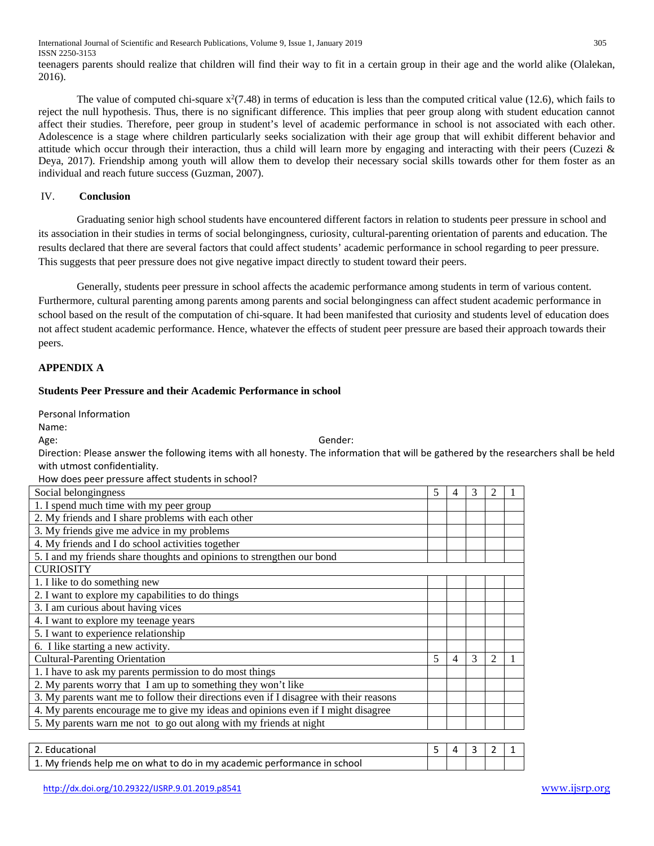International Journal of Scientific and Research Publications, Volume 9, Issue 1, January 2019 305 ISSN 2250-3153

teenagers parents should realize that children will find their way to fit in a certain group in their age and the world alike (Olalekan, 2016).

The value of computed chi-square  $x^2(7.48)$  in terms of education is less than the computed critical value (12.6), which fails to reject the null hypothesis. Thus, there is no significant difference. This implies that peer group along with student education cannot affect their studies. Therefore, peer group in student's level of academic performance in school is not associated with each other. Adolescence is a stage where children particularly seeks socialization with their age group that will exhibit different behavior and attitude which occur through their interaction, thus a child will learn more by engaging and interacting with their peers (Cuzezi  $\&$ Deya, 2017). Friendship among youth will allow them to develop their necessary social skills towards other for them foster as an individual and reach future success (Guzman, 2007).

## IV. **Conclusion**

Graduating senior high school students have encountered different factors in relation to students peer pressure in school and its association in their studies in terms of social belongingness, curiosity, cultural-parenting orientation of parents and education. The results declared that there are several factors that could affect students' academic performance in school regarding to peer pressure. This suggests that peer pressure does not give negative impact directly to student toward their peers.

Generally, students peer pressure in school affects the academic performance among students in term of various content. Furthermore, cultural parenting among parents among parents and social belongingness can affect student academic performance in school based on the result of the computation of chi-square. It had been manifested that curiosity and students level of education does not affect student academic performance. Hence, whatever the effects of student peer pressure are based their approach towards their peers.

# **APPENDIX A**

## **Students Peer Pressure and their Academic Performance in school**

Personal Information

Name:

Age: Gender:

Direction: Please answer the following items with all honesty. The information that will be gathered by the researchers shall be held with utmost confidentiality.

How does peer pressure affect students in school?

| Social belongingness                                                                   | 5 | 4 | 3 | 2              |  |
|----------------------------------------------------------------------------------------|---|---|---|----------------|--|
| 1. I spend much time with my peer group                                                |   |   |   |                |  |
| 2. My friends and I share problems with each other                                     |   |   |   |                |  |
| 3. My friends give me advice in my problems                                            |   |   |   |                |  |
| 4. My friends and I do school activities together                                      |   |   |   |                |  |
| 5. I and my friends share thoughts and opinions to strengthen our bond                 |   |   |   |                |  |
| <b>CURIOSITY</b>                                                                       |   |   |   |                |  |
| 1. I like to do something new                                                          |   |   |   |                |  |
| 2. I want to explore my capabilities to do things                                      |   |   |   |                |  |
| 3. I am curious about having vices                                                     |   |   |   |                |  |
| 4. I want to explore my teenage years                                                  |   |   |   |                |  |
| 5. I want to experience relationship                                                   |   |   |   |                |  |
| 6. I like starting a new activity.                                                     |   |   |   |                |  |
| <b>Cultural-Parenting Orientation</b>                                                  | 5 | 4 | 3 | $\overline{2}$ |  |
| 1. I have to ask my parents permission to do most things                               |   |   |   |                |  |
| 2. My parents worry that I am up to something they won't like                          |   |   |   |                |  |
| 3. My parents want me to follow their directions even if I disagree with their reasons |   |   |   |                |  |
| 4. My parents encourage me to give my ideas and opinions even if I might disagree      |   |   |   |                |  |
| 5. My parents warn me not to go out along with my friends at night                     |   |   |   |                |  |
|                                                                                        |   |   |   |                |  |

| 2. Educational                                                           |  |  |  |
|--------------------------------------------------------------------------|--|--|--|
| 1. My friends help me on what to do in my academic performance in school |  |  |  |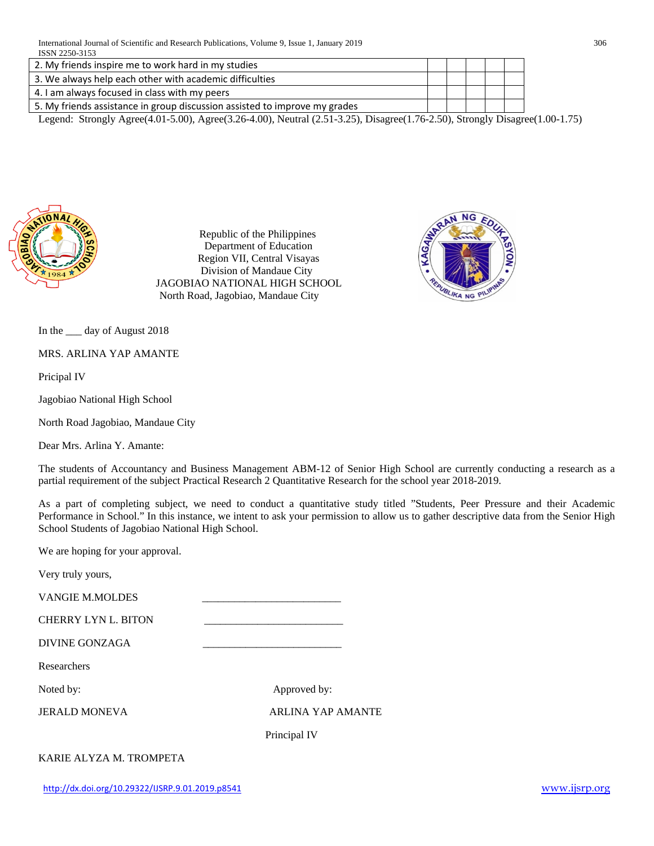| 2. My friends inspire me to work hard in my studies                        |  |  |  |
|----------------------------------------------------------------------------|--|--|--|
| 3. We always help each other with academic difficulties                    |  |  |  |
| 4. I am always focused in class with my peers                              |  |  |  |
| 5. My friends assistance in group discussion assisted to improve my grades |  |  |  |

Legend: Strongly Agree(4.01-5.00), Agree(3.26-4.00), Neutral (2.51-3.25), Disagree(1.76-2.50), Strongly Disagree(1.00-1.75)



Republic of the Philippines Department of Education Region VII, Central Visayas Division of Mandaue City JAGOBIAO NATIONAL HIGH SCHOOL North Road, Jagobiao, Mandaue City



In the \_\_\_ day of August 2018

MRS. ARLINA YAP AMANTE

Pricipal IV

Jagobiao National High School

North Road Jagobiao, Mandaue City

Dear Mrs. Arlina Y. Amante:

The students of Accountancy and Business Management ABM-12 of Senior High School are currently conducting a research as a partial requirement of the subject Practical Research 2 Quantitative Research for the school year 2018-2019.

As a part of completing subject, we need to conduct a quantitative study titled "Students, Peer Pressure and their Academic Performance in School." In this instance, we intent to ask your permission to allow us to gather descriptive data from the Senior High School Students of Jagobiao National High School.

We are hoping for your approval.

Very truly yours,

VANGIE M.MOLDES \_\_\_\_\_\_\_\_\_\_\_\_\_\_\_\_\_\_\_\_\_\_\_\_\_\_

CHERRY LYN L. BITON

DIVINE GONZAGA \_\_\_\_\_\_\_\_\_\_\_\_\_\_\_\_\_\_\_\_\_\_\_\_\_\_

Researchers

Noted by: Approved by:

JERALD MONEVA ARLINA YAP AMANTE

Principal IV

KARIE ALYZA M. TROMPETA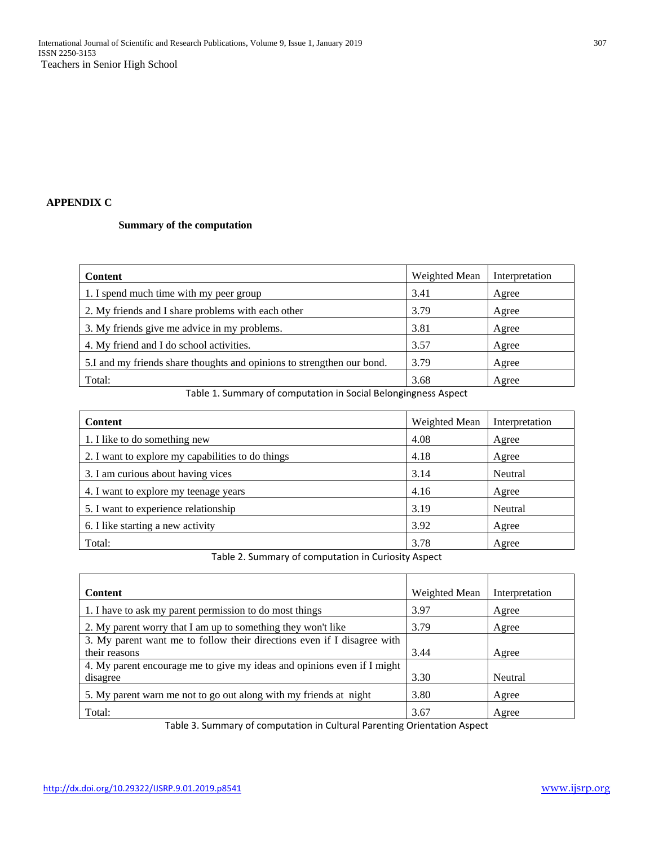# **APPENDIX C**

# **Summary of the computation**

| <b>Content</b>                                                         | Weighted Mean | Interpretation |
|------------------------------------------------------------------------|---------------|----------------|
| 1. I spend much time with my peer group                                | 3.41          | Agree          |
| 2. My friends and I share problems with each other                     | 3.79          | Agree          |
| 3. My friends give me advice in my problems.                           | 3.81          | Agree          |
| 4. My friend and I do school activities.                               | 3.57          | Agree          |
| 5.I and my friends share thoughts and opinions to strengthen our bond. | 3.79          | Agree          |
| Total:                                                                 | 3.68          | Agree          |

Table 1. Summary of computation in Social Belongingness Aspect

| <b>Content</b>                                    | Weighted Mean | Interpretation |
|---------------------------------------------------|---------------|----------------|
| 1. I like to do something new                     | 4.08          | Agree          |
| 2. I want to explore my capabilities to do things | 4.18          | Agree          |
| 3. I am curious about having vices                | 3.14          | Neutral        |
| 4. I want to explore my teenage years             | 4.16          | Agree          |
| 5. I want to experience relationship              | 3.19          | Neutral        |
| 6. I like starting a new activity                 | 3.92          | Agree          |
| Total:                                            | 3.78          | Agree          |

Table 2. Summary of computation in Curiosity Aspect

| <b>Content</b>                                                          | Weighted Mean | Interpretation |
|-------------------------------------------------------------------------|---------------|----------------|
| 1. I have to ask my parent permission to do most things                 | 3.97          | Agree          |
| 2. My parent worry that I am up to something they won't like            | 3.79          | Agree          |
| 3. My parent want me to follow their directions even if I disagree with |               |                |
| their reasons                                                           | 3.44          | Agree          |
| 4. My parent encourage me to give my ideas and opinions even if I might |               |                |
| disagree                                                                | 3.30          | Neutral        |
| 5. My parent warn me not to go out along with my friends at night       | 3.80          | Agree          |
| Total:                                                                  | 3.67          | Agree          |

Table 3. Summary of computation in Cultural Parenting Orientation Aspect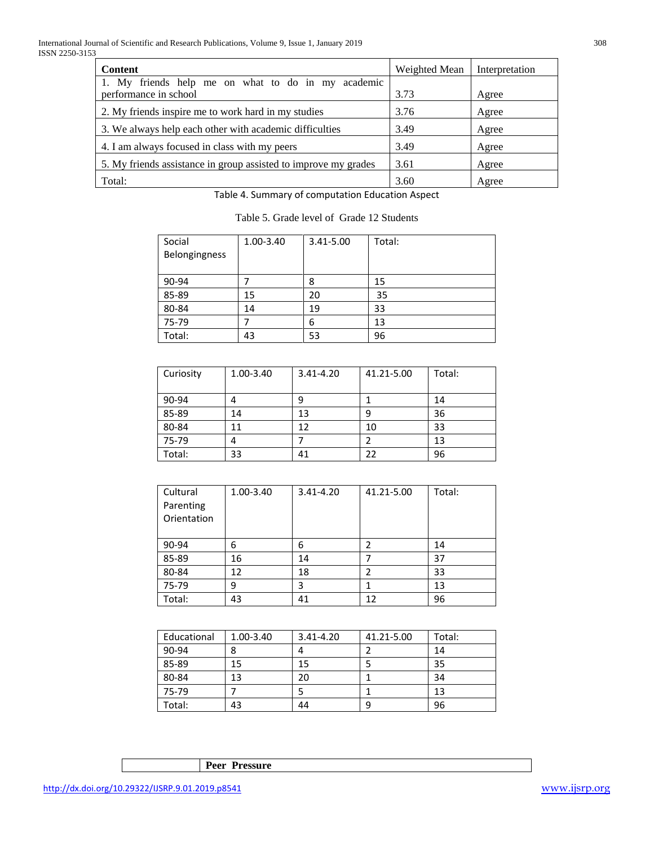| <b>Content</b>                                                  | Weighted Mean | Interpretation |
|-----------------------------------------------------------------|---------------|----------------|
| 1. My friends help me on what to do in my academic              |               |                |
| performance in school                                           | 3.73          | Agree          |
| 2. My friends inspire me to work hard in my studies             | 3.76          | Agree          |
| 3. We always help each other with academic difficulties         | 3.49          | Agree          |
| 4. I am always focused in class with my peers                   | 3.49          | Agree          |
| 5. My friends assistance in group assisted to improve my grades | 3.61          | Agree          |
| Total:                                                          | 3.60          | Agree          |

Table 4. Summary of computation Education Aspect

| Table 5. Grade level of Grade 12 Students |  |
|-------------------------------------------|--|
|-------------------------------------------|--|

| Social        | 1.00-3.40 | 3.41-5.00 | Total: |
|---------------|-----------|-----------|--------|
| Belongingness |           |           |        |
|               |           |           |        |
| 90-94         |           | 8         | 15     |
| 85-89         | 15        | 20        | 35     |
| 80-84         | 14        | 19        | 33     |
| 75-79         |           | 6         | 13     |
| Total:        | 43        | 53        | 96     |

| Curiosity | 1.00-3.40 | $3.41 - 4.20$ | 41.21-5.00 | Total: |
|-----------|-----------|---------------|------------|--------|
| 90-94     |           | 9             |            | 14     |
| 85-89     | 14        | 13            | 9          | 36     |
| 80-84     | 11        | 12            | 10         | 33     |
| 75-79     |           |               |            | 13     |
| Total:    | 33        | 41            | 22         | 96     |

| Cultural    | 1.00-3.40 | 3.41-4.20 | 41.21-5.00 | Total: |
|-------------|-----------|-----------|------------|--------|
| Parenting   |           |           |            |        |
| Orientation |           |           |            |        |
|             |           |           |            |        |
| 90-94       | 6         | 6         |            | 14     |
| 85-89       | 16        | 14        |            | 37     |
| 80-84       | 12        | 18        | 2          | 33     |
| 75-79       | 9         | 3         |            | 13     |
| Total:      | 43        | 41        | 12         | 96     |

| Educational | 1.00-3.40 | 3.41-4.20 | 41.21-5.00 | Total: |
|-------------|-----------|-----------|------------|--------|
| 90-94       |           |           |            | 14     |
| 85-89       | 15        | 15        |            | 35     |
| 80-84       | 13        | 20        |            | 34     |
| 75-79       |           |           |            | 13     |
| Total:      | 43        | 44        | 9          | 96     |

**Peer Pressure**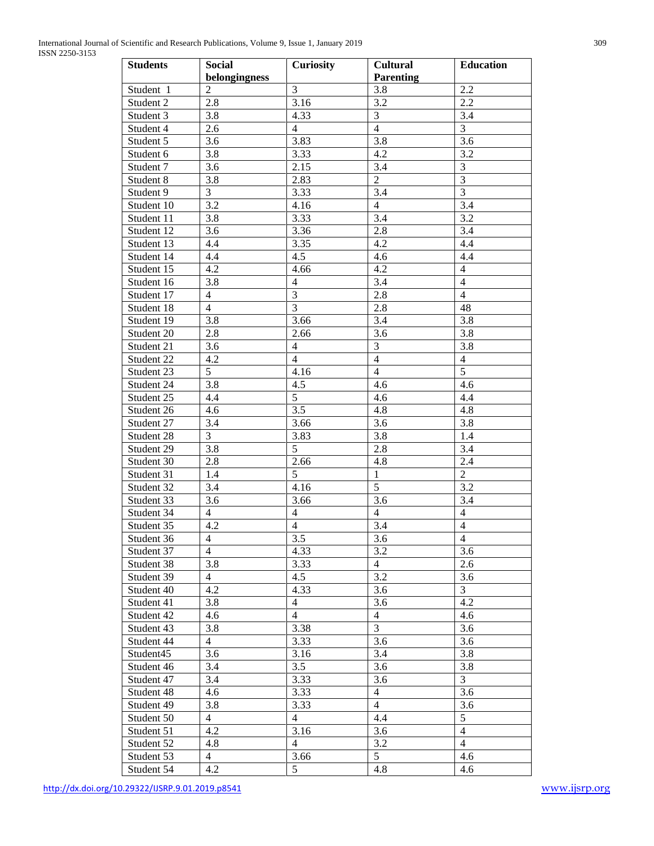| <b>Students</b> | <b>Social</b>  | <b>Curiosity</b>        | <b>Cultural</b>  | <b>Education</b> |
|-----------------|----------------|-------------------------|------------------|------------------|
|                 | belongingness  |                         | <b>Parenting</b> |                  |
| Student 1       | $\overline{2}$ | $\mathfrak{Z}$          | 3.8              | 2.2              |
| Student 2       | 2.8            | 3.16                    | 3.2              | 2.2              |
| Student 3       | 3.8            | 4.33                    | $\mathfrak{Z}$   | 3.4              |
| Student 4       | 2.6            | $\overline{4}$          | $\overline{4}$   | $\overline{3}$   |
| Student 5       | 3.6            | 3.83                    | 3.8              | 3.6              |
| Student 6       | 3.8            | 3.33                    | 4.2              | 3.2              |
| Student 7       | 3.6            | 2.15                    | 3.4              | $\mathfrak{Z}$   |
| Student 8       | 3.8            | 2.83                    | $\overline{2}$   | $\overline{3}$   |
| Student 9       | 3              | 3.33                    | 3.4              | $\overline{3}$   |
| Student 10      | 3.2            | 4.16                    | $\overline{4}$   | $\overline{3.4}$ |
| Student 11      | 3.8            | 3.33                    | $\overline{3.4}$ | 3.2              |
| Student 12      | 3.6            | 3.36                    | 2.8              | 3.4              |
| Student 13      | 4.4            | 3.35                    | 4.2              | 4.4              |
| Student 14      | 4.4            | 4.5                     | 4.6              | 4.4              |
| Student 15      | 4.2            | 4.66                    | 4.2              | $\overline{4}$   |
| Student 16      | 3.8            | $\overline{4}$          | $3.\overline{4}$ | $\overline{4}$   |
| Student 17      | $\overline{4}$ | $\overline{3}$          | 2.8              | $\overline{4}$   |
| Student 18      | $\overline{4}$ | $\overline{3}$          | 2.8              | 48               |
| Student 19      | 3.8            | 3.66                    | 3.4              | 3.8              |
| Student 20      | 2.8            | 2.66                    | 3.6              | 3.8              |
| Student 21      | 3.6            | $\overline{4}$          | $\overline{3}$   | 3.8              |
| Student 22      | 4.2            | $\overline{4}$          | $\overline{4}$   | $\overline{4}$   |
| Student 23      | 5              | 4.16                    | $\overline{4}$   | $\overline{5}$   |
| Student 24      | 3.8            | 4.5                     | 4.6              | 4.6              |
| Student 25      | 4.4            | $\overline{5}$          | 4.6              | 4.4              |
| Student 26      | 4.6            | 3.5                     | 4.8              | $4.\overline{8}$ |
| Student 27      | 3.4            | 3.66                    | 3.6              | 3.8              |
| Student 28      | 3              | 3.83                    | 3.8              | 1.4              |
| Student 29      | 3.8            | 5                       | 2.8              | 3.4              |
| Student 30      | 2.8            | 2.66                    | 4.8              | 2.4              |
| Student 31      | 1.4            | 5                       | $\mathbf{1}$     | $\overline{c}$   |
| Student 32      | 3.4            | 4.16                    | $\overline{5}$   | 3.2              |
| Student 33      | 3.6            | 3.66                    | $\overline{3.6}$ | 3.4              |
| Student 34      | $\overline{4}$ | $\overline{4}$          | $\overline{4}$   | $\overline{4}$   |
| Student 35      | $4.2\,$        | $\overline{\mathbf{4}}$ | 3.4              | $\overline{4}$   |
| Student 36      | $\overline{4}$ | $\overline{3.5}$        | $\overline{3.6}$ | $\overline{4}$   |
| Student 37      | $\overline{4}$ | 4.33                    | 3.2              | 3.6              |
| Student 38      | 3.8            | 3.33                    | $\overline{4}$   | 2.6              |
| Student 39      | $\overline{4}$ | 4.5                     | 3.2              | 3.6              |
| Student 40      | 4.2            | 4.33                    | 3.6              | $\mathfrak{Z}$   |
| Student 41      | 3.8            | $\overline{4}$          | 3.6              | 4.2              |
| Student 42      | 4.6            | $\overline{4}$          | $\overline{4}$   | 4.6              |
| Student 43      | 3.8            | 3.38                    | $\overline{3}$   | 3.6              |
| Student 44      | $\overline{4}$ | 3.33                    | 3.6              | 3.6              |
| Student45       | 3.6            | 3.16                    | 3.4              | 3.8              |
| Student 46      | 3.4            | 3.5                     | 3.6              | 3.8              |
| Student 47      | 3.4            | 3.33                    | 3.6              | $\mathfrak{Z}$   |
| Student 48      | 4.6            | 3.33                    | $\overline{4}$   | 3.6              |
| Student 49      | 3.8            | 3.33                    | $\overline{4}$   | 3.6              |
| Student 50      | $\overline{4}$ | $\overline{4}$          | 4.4              | $\mathfrak{S}$   |
| Student 51      | 4.2            | 3.16                    | 3.6              | $\overline{4}$   |
| Student 52      | 4.8            | $\overline{4}$          | 3.2              | $\overline{4}$   |
| Student 53      | $\overline{4}$ | 3.66                    | 5                | 4.6              |
| Student 54      | 4.2            | 5                       | 4.8              | 4.6              |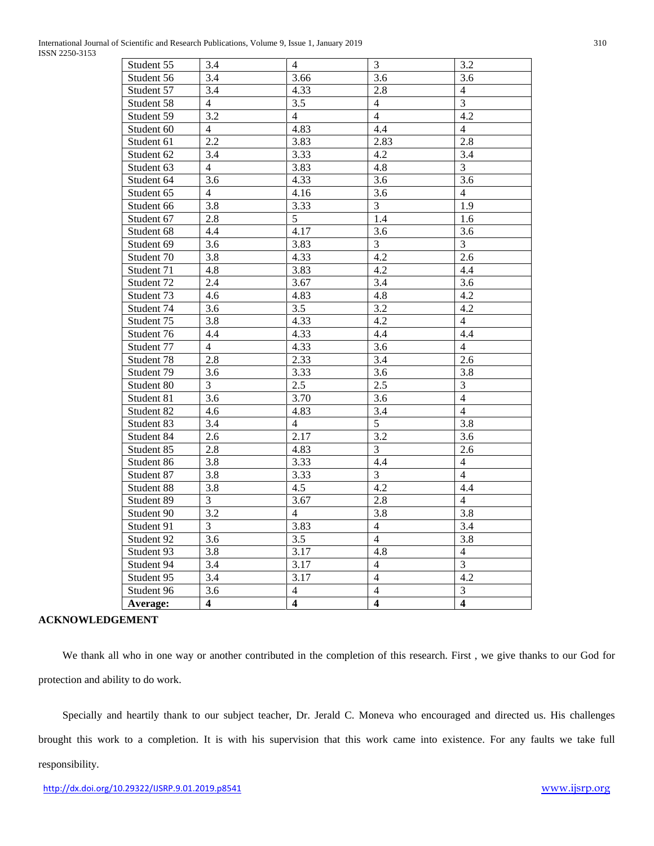| International Journal of Scientific and Research Publications, Volume 9, Issue 1<br>201 <sup>o</sup><br>January. | 310 |
|------------------------------------------------------------------------------------------------------------------|-----|
| ISSN 2250-3153                                                                                                   |     |

| Student 55 | 3.4            | $\overline{4}$ | $\mathfrak{Z}$   | 3.2              |
|------------|----------------|----------------|------------------|------------------|
| Student 56 | 3.4            | 3.66           | 3.6              | 3.6              |
| Student 57 | 3.4            | 4.33           | 2.8              | $\overline{4}$   |
| Student 58 | 4              | 3.5            | $\overline{4}$   | 3                |
| Student 59 | 3.2            | $\overline{4}$ | $\overline{4}$   | 4.2              |
| Student 60 | $\overline{4}$ | 4.83           | 4.4              | $\overline{4}$   |
| Student 61 | 2.2            | 3.83           | 2.83             | 2.8              |
| Student 62 | 3.4            | 3.33           | 4.2              | 3.4              |
| Student 63 | $\overline{4}$ | 3.83           | 4.8              | $\overline{3}$   |
| Student 64 | 3.6            | 4.33           | 3.6              | 3.6              |
| Student 65 | $\overline{4}$ | 4.16           | 3.6              | $\overline{4}$   |
| Student 66 | 3.8            | 3.33           | 3                | 1.9              |
| Student 67 | 2.8            | 5              | 1.4              | 1.6              |
| Student 68 | 4.4            | 4.17           | 3.6              | 3.6              |
| Student 69 | 3.6            | 3.83           | 3                | 3                |
| Student 70 | 3.8            | 4.33           | 4.2              | 2.6              |
| Student 71 | 4.8            | 3.83           | 4.2              | 4.4              |
| Student 72 | 2.4            | 3.67           | $3.\overline{4}$ | $\overline{3.6}$ |
| Student 73 | 4.6            | 4.83           | 4.8              | 4.2              |
| Student 74 | 3.6            | 3.5            | 3.2              | 4.2              |
| Student 75 | 3.8            | 4.33           | 4.2              | $\overline{4}$   |
| Student 76 | 4.4            | 4.33           | 4.4              | 4.4              |
| Student 77 | $\overline{4}$ | 4.33           | 3.6              | $\overline{4}$   |
| Student 78 | 2.8            | 2.33           | 3.4              | 2.6              |
| Student 79 | 3.6            | 3.33           | 3.6              | 3.8              |
| Student 80 | $\overline{3}$ | 2.5            | 2.5              | $\overline{3}$   |
| Student 81 | 3.6            | 3.70           | 3.6              | $\overline{4}$   |
| Student 82 | 4.6            | 4.83           | 3.4              | $\overline{4}$   |
| Student 83 | 3.4            | $\overline{4}$ | 5                | 3.8              |
| Student 84 | 2.6            | 2.17           | 3.2              | 3.6              |
| Student 85 | 2.8            | 4.83           | 3                | $2.6\,$          |
| Student 86 | 3.8            | 3.33           | 4.4              | $\overline{4}$   |
| Student 87 | 3.8            | 3.33           | $\overline{3}$   | $\overline{4}$   |
| Student 88 | 3.8            | 4.5            | 4.2              | 4.4              |
| Student 89 | 3              | 3.67           | 2.8              | $\overline{4}$   |
| Student 90 | 3.2            | $\overline{4}$ | 3.8              | 3.8              |
| Student 91 | $\overline{3}$ | 3.83           | $\overline{4}$   | 3.4              |
| Student 92 | 3.6            | 3.5            | $\overline{4}$   | 3.8              |
| Student 93 | 3.8            | 3.17           | 4.8              | $\overline{4}$   |
| Student 94 | 3.4            | 3.17           | $\overline{4}$   | $\overline{3}$   |
| Student 95 | 3.4            | 3.17           | $\overline{4}$   | 4.2              |
| Student 96 | 3.6            | 4              | 4                | 3                |
| Average:   | $\overline{4}$ | $\overline{4}$ | $\overline{4}$   | $\overline{4}$   |

## **ACKNOWLEDGEMENT**

 We thank all who in one way or another contributed in the completion of this research. First , we give thanks to our God for protection and ability to do work.

 Specially and heartily thank to our subject teacher, Dr. Jerald C. Moneva who encouraged and directed us. His challenges brought this work to a completion. It is with his supervision that this work came into existence. For any faults we take full responsibility.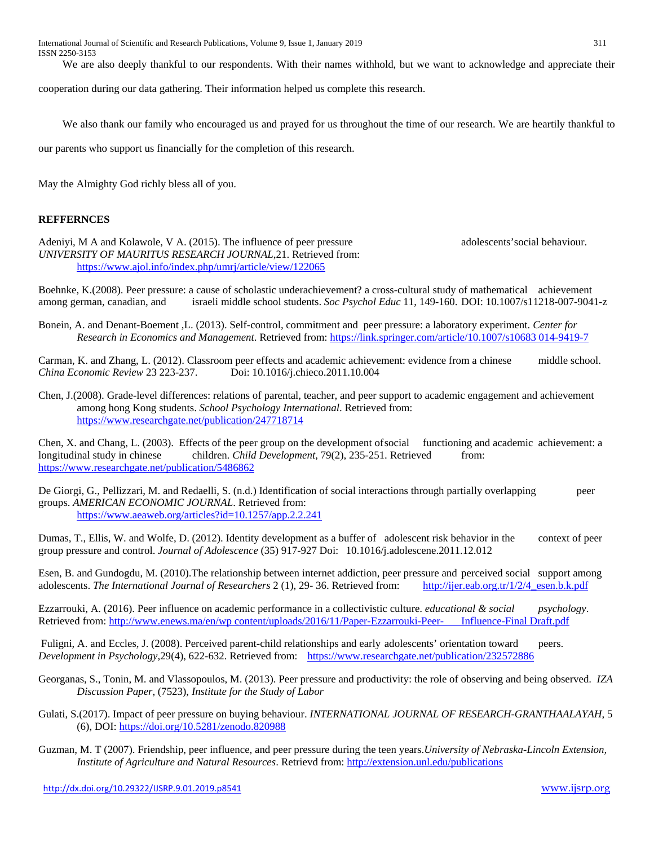We are also deeply thankful to our respondents. With their names withhold, but we want to acknowledge and appreciate their

cooperation during our data gathering. Their information helped us complete this research.

We also thank our family who encouraged us and prayed for us throughout the time of our research. We are heartily thankful to

our parents who support us financially for the completion of this research.

May the Almighty God richly bless all of you.

# **REFFERNCES**

Adeniyi, M A and Kolawole, V A. (2015). The influence of peer pressure adolescents' social behaviour. *UNIVERSITY OF MAURITUS RESEARCH JOURNAL*,21. Retrieved from: <https://www.ajol.info/index.php/umrj/article/view/122065>

Boehnke, K.(2008). Peer pressure: a cause of scholastic underachievement? a cross-cultural study of mathematical achievement among german, canadian, and israeli middle school students. *Soc Psychol Educ* 11, 149-160. DOI: 10.1007/s11218-007-9041-z

Bonein, A. and Denant-Boement ,L. (2013). Self-control, commitment and peer pressure: a laboratory experiment. *Center for Research in Economics and Management*. Retrieved from: [https://link.springer.com/article/10.1007/s10683 014-9419-7](https://link.springer.com/article/10.1007/s10683%20014-9419-7)

Carman, K. and Zhang, L. (2012). Classroom peer effects and academic achievement: evidence from a chinese middle school. *China Economic Review* 23 223-237. Doi: 10.1016/j.chieco.2011.10.004

Chen, J.(2008). Grade-level differences: relations of parental, teacher, and peer support to academic engagement and achievement among hong Kong students. *School Psychology International*. Retrieved from: <https://www.researchgate.net/publication/247718714>

Chen, X. and Chang, L. (2003). Effects of the peer group on the development ofsocial functioning and academic achievement: a longitudinal study in chinese children*. Child Development*, 79(2), 235-251. Retrieved from: <https://www.researchgate.net/publication/5486862>

De Giorgi, G., Pellizzari, M. and Redaelli, S. (n.d.) Identification of social interactions through partially overlapping peer groups. *AMERICAN ECONOMIC JOURNAL*. Retrieved from: <https://www.aeaweb.org/articles?id=10.1257/app.2.2.241>

Dumas, T., Ellis, W. and Wolfe, D. (2012). Identity development as a buffer of adolescent risk behavior in the context of peer group pressure and control. *Journal of Adolescence* (35) 917-927 Doi: 10.1016/j.adolescene.2011.12.012

Esen, B. and Gundogdu, M. (2010). The relationship between internet addiction, peer pressure and perceived social support among adolescents. The International Journal of Researchers 2 (1), 29-36. Retrieved from: http://jie adolescents. *The International Journal of Researchers* 2 (1), 29-36. Retrieved from:

Ezzarrouki, A. (2016). Peer influence on academic performance in a collectivistic culture. *educational & social psychology*. Retrieved from: [http://www.enews.ma/en/wp content/uploads/2016/11/Paper-Ezzarrouki-Peer-](http://www.enews.ma/en/wp%20content/uploads/2016/11/Paper-Ezzarrouki-Peer-%09Influence-Final%20Draft.pdf) Influence-Final Draft.pdf

Fuligni, A. and Eccles, J. (2008). Perceived parent-child relationships and early adolescents' orientation toward peers. *Development in Psychology*,29(4), 622-632. Retrieved from: <https://www.researchgate.net/publication/232572886>

Georganas, S., Tonin, M. and Vlassopoulos, M. (2013). Peer pressure and productivity: the role of observing and being observed. *IZA Discussion Paper*, (7523), *Institute for the Study of Labor*

Gulati, S.(2017). Impact of peer pressure on buying behaviour. *INTERNATIONAL JOURNAL OF RESEARCH-GRANTHAALAYAH*, 5 (6), DOI[: https://doi.org/10.5281/zenodo.820988](https://doi.org/10.5281/zenodo.820988)

Guzman, M. T (2007). Friendship, peer influence, and peer pressure during the teen years.*University of Nebraska-Lincoln Extension, Institute of Agriculture and Natural Resources*. Retrievd from:<http://extension.unl.edu/publications>